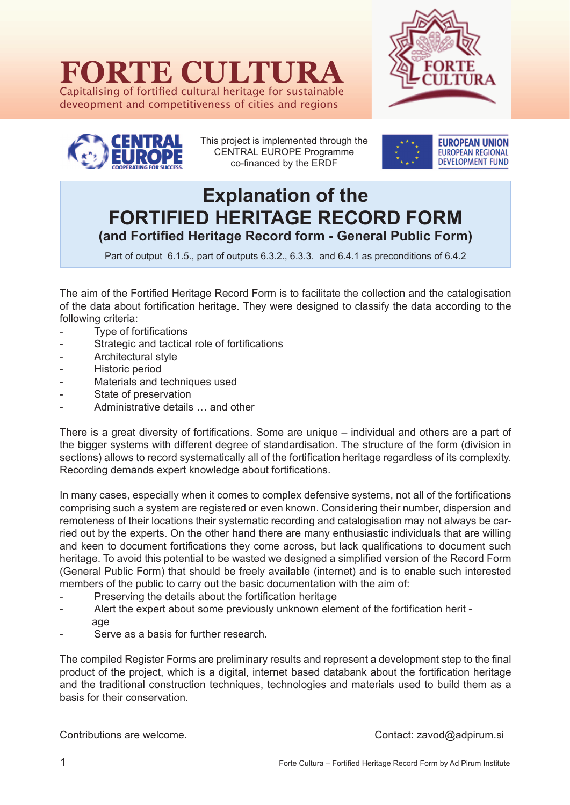# **FORTE CULTURA**

Capitalising of fortified cultural heritage for sustainable deveopment and competitiveness of cities and regions





This project is implemented through the CENTRAL EUROPE Programme co-financed by the ERDF



## **Explanation of the FORTIFIED HERITAGE RECORD FORM (and Fortified Heritage Record form - General Public Form)**

Part of output 6.1.5., part of outputs 6.3.2., 6.3.3. and 6.4.1 as preconditions of 6.4.2

The aim of the Fortified Heritage Record Form is to facilitate the collection and the catalogisation of the data about fortification heritage. They were designed to classify the data according to the following criteria:

- Type of fortifications
- Strategic and tactical role of fortifications
- Architectural style
- Historic period
- Materials and techniques used
- State of preservation
- Administrative details ... and other

There is a great diversity of fortifications. Some are unique – individual and others are a part of the bigger systems with different degree of standardisation. The structure of the form (division in sections) allows to record systematically all of the fortification heritage regardless of its complexity. Recording demands expert knowledge about fortifications.

In many cases, especially when it comes to complex defensive systems, not all of the fortifications comprising such a system are registered or even known. Considering their number, dispersion and remoteness of their locations their systematic recording and catalogisation may not always be carried out by the experts. On the other hand there are many enthusiastic individuals that are willing and keen to document fortifications they come across, but lack qualifications to document such heritage. To avoid this potential to be wasted we designed a simplified version of the Record Form (General Public Form) that should be freely available (internet) and is to enable such interested members of the public to carry out the basic documentation with the aim of:

- Preserving the details about the fortification heritage
- Alert the expert about some previously unknown element of the fortification herit age
- Serve as a basis for further research.

The compiled Register Forms are preliminary results and represent a development step to the final product of the project, which is a digital, internet based databank about the fortification heritage and the traditional construction techniques, technologies and materials used to build them as a basis for their conservation.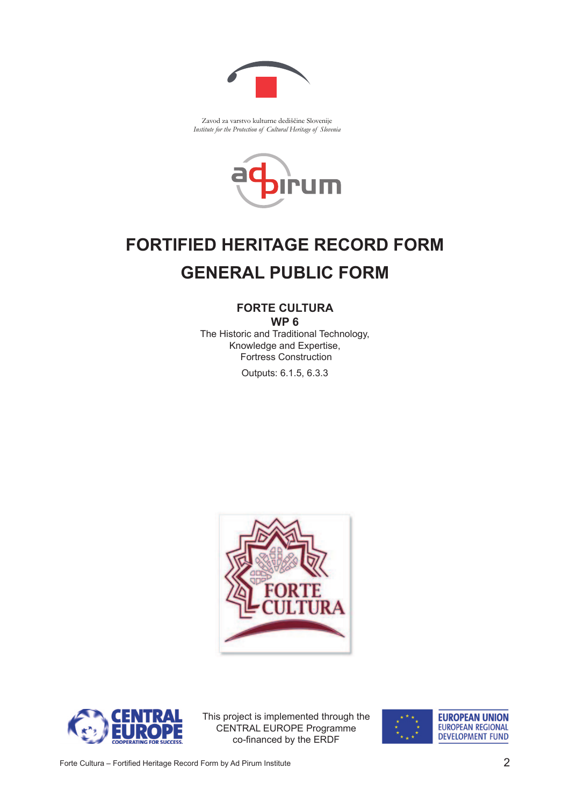

Zavod za varstvo kulturne dediščine Slovenije *Institute for the Protection of Cultural Heritage of Slovenia*



## **FORTIFIED HERITAGE RECORD FORM GENERAL PUBLIC FORM**

## **FORTE CULTURA WP 6**

The Historic and Traditional Technology, Knowledge and Expertise, Fortress Construction

Outputs: 6.1.5, 6.3.3





This project is implemented through the CENTRAL EUROPE Programme co-financed by the ERDF

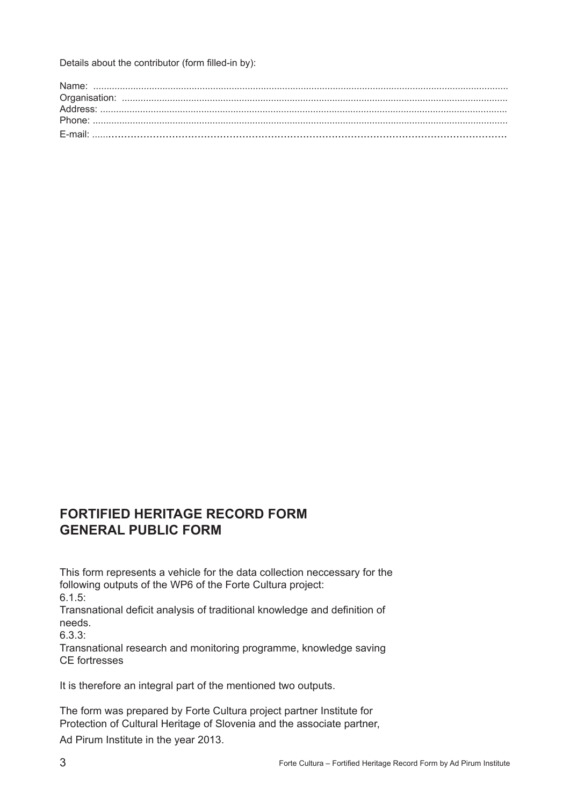Details about the contributor (form filled-in by):

## **FORTIFIED HERITAGE RECORD FORM GENERAL PUBLIC FORM**

This form represents a vehicle for the data collection neccessary for the following outputs of the WP6 of the Forte Cultura project:

6.1.5:

Transnational deficit analysis of traditional knowledge and definition of needs.

6.3.3:

Transnational research and monitoring programme, knowledge saving CE fortresses

It is therefore an integral part of the mentioned two outputs.

The form was prepared by Forte Cultura project partner Institute for Protection of Cultural Heritage of Slovenia and the associate partner, Ad Pirum Institute in the year 2013.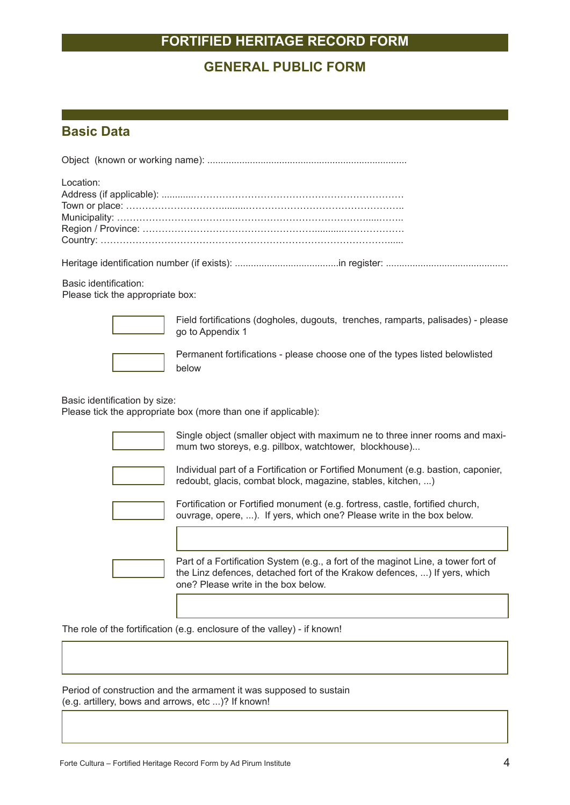## **GENERAL PUBLIC FORM**

#### **Basic Data**

| Location: |  |
|-----------|--|
|           |  |
|           |  |
|           |  |
|           |  |
|           |  |
|           |  |

Heritage identification number (if exists): .......................................in register: ..............................................

Basic identification: Please tick the appropriate box:



Field fortifications (dogholes, dugouts, trenches, ramparts, palisades) - please go to Appendix 1



Permanent fortifications - please choose one of the types listed belowlisted below

Basic identification by size:

Please tick the appropriate box (more than one if applicable):



Single object (smaller object with maximum ne to three inner rooms and maximum two storeys, e.g. pillbox, watchtower, blockhouse)...



Individual part of a Fortification or Fortified Monument (e.g. bastion, caponier, redoubt, glacis, combat block, magazine, stables, kitchen, ...)



Fortification or Fortified monument (e.g. fortress, castle, fortified church, ouvrage, opere, ...). If yers, which one? Please write in the box below.



Part of a Fortification System (e.g., a fort of the maginot Line, a tower fort of the Linz defences, detached fort of the Krakow defences, ...) If yers, which one? Please write in the box below.

The role of the fortification (e.g. enclosure of the valley) - if known!

Period of construction and the armament it was supposed to sustain (e.g. artillery, bows and arrows, etc ...)? If known!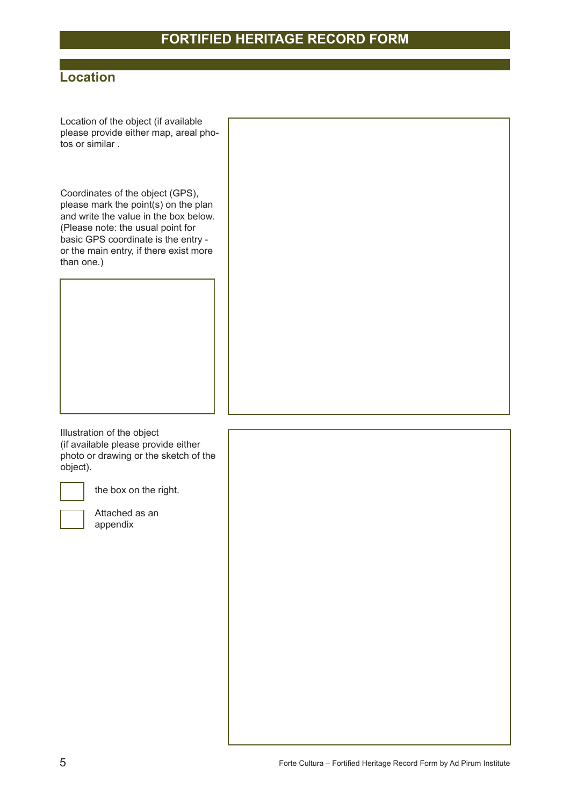## **Location**

Location of the object (if available please provide either map, areal photos or similar .

Coordinates of the object (GPS), please mark the point(s) on the plan and write the value in the box below. (Please note: the usual point for basic GPS coordinate is the entry or the main entry, if there exist more than one.)

Illustration of the object (if available please provide either photo or drawing or the sketch of the object).

the box on the right.

Attached as an appendix

5 Forte Cultura – Fortified Heritage Record Form by Ad Pirum Institute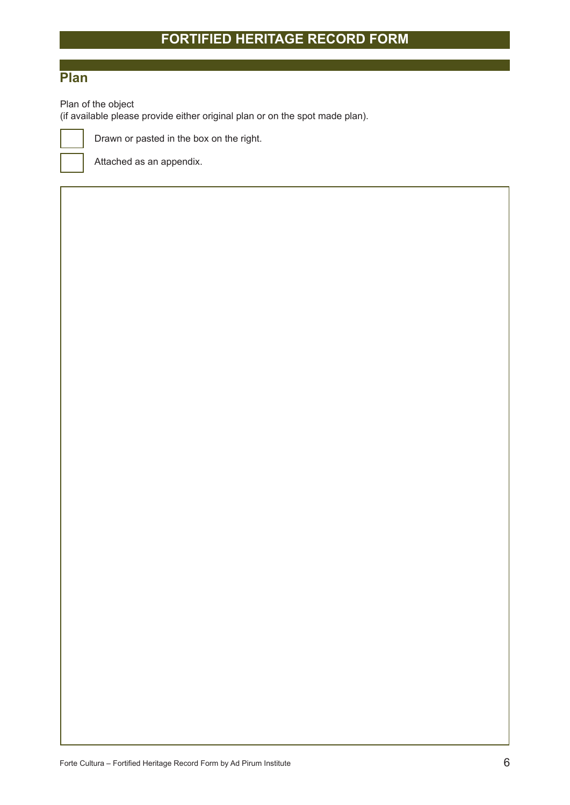## **Plan**

Plan of the object

(if available please provide either original plan or on the spot made plan).



Attached as an appendix.

Drawn or pasted in the box on the right.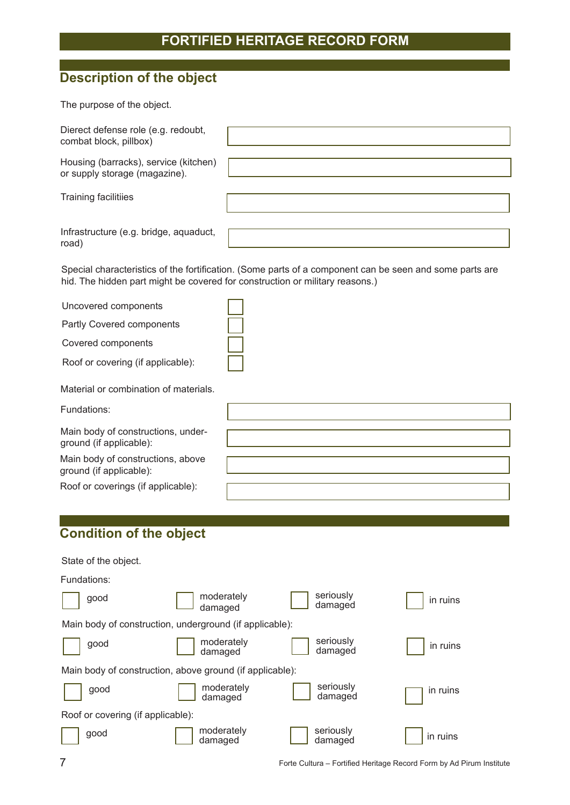## **Description of the object**

The purpose of the object.

| Dierect defense role (e.g. redoubt,<br>combat block, pillbox)          |  |
|------------------------------------------------------------------------|--|
| Housing (barracks), service (kitchen)<br>or supply storage (magazine). |  |
| <b>Training facilitiies</b>                                            |  |
| Infrastructure (e.g. bridge, aquaduct,<br>road)                        |  |

Special characteristics of the fortification. (Some parts of a component can be seen and some parts are hid. The hidden part might be covered for construction or military reasons.)

| Uncovered components                                          |  |
|---------------------------------------------------------------|--|
| Partly Covered components                                     |  |
| Covered components                                            |  |
| Roof or covering (if applicable):                             |  |
| Material or combination of materials.                         |  |
| Fundations:                                                   |  |
| Main body of constructions, under-<br>ground (if applicable): |  |
| Main body of constructions, above<br>ground (if applicable):  |  |
| Roof or coverings (if applicable):                            |  |

## **Condition of the object**

| State of the object.              |                                                          |                      |          |
|-----------------------------------|----------------------------------------------------------|----------------------|----------|
| Fundations:                       |                                                          |                      |          |
| good                              | moderately<br>damaged                                    | seriously<br>damaged | in ruins |
|                                   | Main body of construction, underground (if applicable):  |                      |          |
| good                              | moderately<br>damaged                                    | seriously<br>damaged | in ruins |
|                                   | Main body of construction, above ground (if applicable): |                      |          |
| good                              | moderately<br>damaged                                    | seriously<br>damaged | in ruins |
| Roof or covering (if applicable): |                                                          |                      |          |
| good                              | moderately<br>damaged                                    | seriously<br>damaged | in ruins |

7 Forte Cultura – Fortified Heritage Record Form by Ad Pirum Institute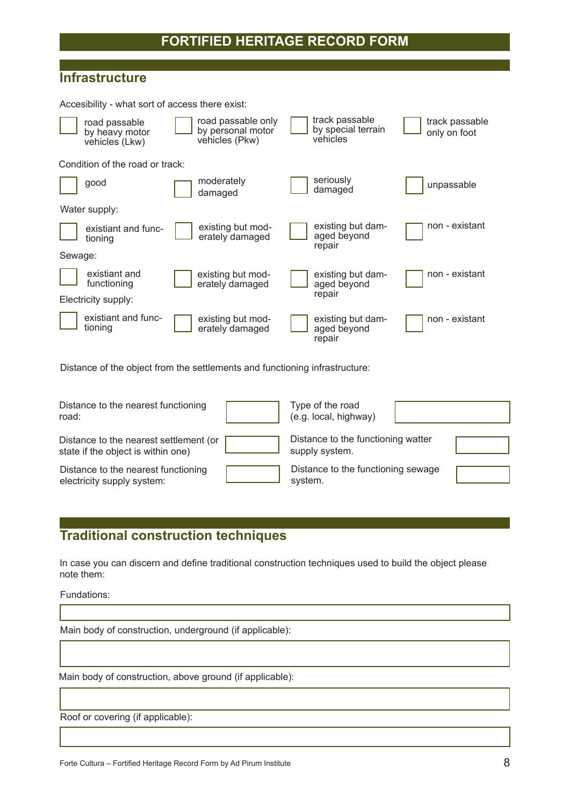#### **Infrastructure**

Accesibility - what sort of access there exist:

|         | road passable<br>by heavy motor<br>vehicles (Lkw) | road passable only<br>by personal motor<br>vehicles (Pkw) | track passable<br>by special terrain<br>vehicles | track passable<br>only on foot |
|---------|---------------------------------------------------|-----------------------------------------------------------|--------------------------------------------------|--------------------------------|
|         | Condition of the road or track:                   |                                                           |                                                  |                                |
|         | good                                              | moderately<br>damaged                                     | seriously<br>damaged                             | unpassable                     |
|         | Water supply:                                     |                                                           |                                                  |                                |
|         | existiant and func-<br>tioning                    | existing but mod-<br>erately damaged                      | existing but dam-<br>aged beyond<br>repair       | non - existant                 |
| Sewage: |                                                   |                                                           |                                                  |                                |
|         | existiant and<br>functioning                      | existing but mod-<br>erately damaged                      | existing but dam-<br>aged beyond                 | non - existant                 |
|         | Electricity supply:                               |                                                           | repair                                           |                                |
|         | existiant and func-<br>tioning                    | existing but mod-<br>erately damaged                      | existing but dam-<br>aged beyond<br>repair       | non - existant                 |

Distance of the object from the settlements and functioning infrastructure:

| Distance to the nearest functioning<br>road:                                 | Type of the road<br>(e.g. local, highway)            |  |
|------------------------------------------------------------------------------|------------------------------------------------------|--|
| Distance to the nearest settlement (or<br>state if the object is within one) | Distance to the functioning watter<br>supply system. |  |
| Distance to the nearest functioning<br>electricity supply system:            | Distance to the functioning sewage<br>system.        |  |

## **Traditional construction techniques**

In case you can discern and define traditional construction techniques used to build the object please note them:

Fundations:

Main body of construction, underground (if applicable):

Main body of construction, above ground (if applicable):

Roof or covering (if applicable):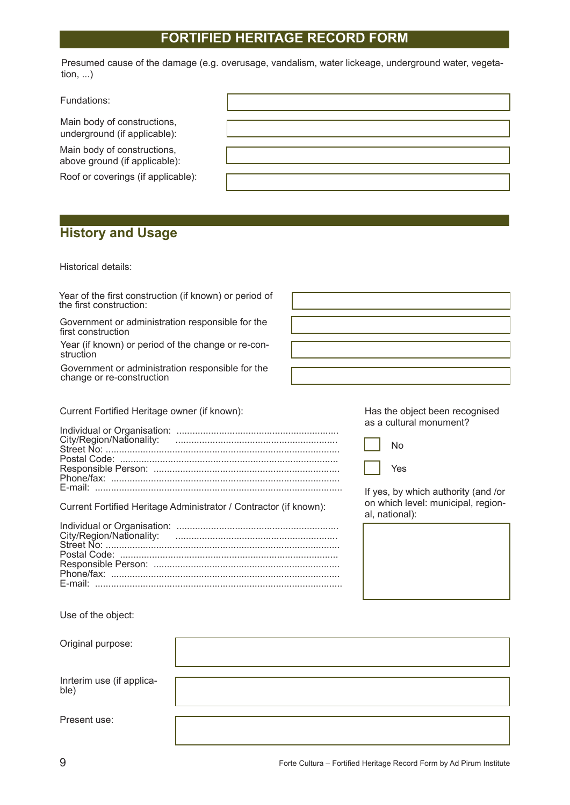Presumed cause of the damage (e.g. overusage, vandalism, water lickeage, underground water, vegetation, ...)

Fundations:

Main body of constructions, underground (if applicable):

Main body of constructions, above ground (if applicable):

Roof or coverings (if applicable):

## **History and Usage**

Historical details:

| Year of the first construction (if known) or period of<br>the first construction: |                                                                                             |
|-----------------------------------------------------------------------------------|---------------------------------------------------------------------------------------------|
| Government or administration responsible for the<br>first construction            |                                                                                             |
| Year (if known) or period of the change or re-con-<br>struction                   |                                                                                             |
| Government or administration responsible for the<br>change or re-construction     |                                                                                             |
| Current Fortified Heritage owner (if known):                                      | Has the object been recognised<br>as a cultural monument?                                   |
| City/Region/Nationality:                                                          | No<br>Yes                                                                                   |
| Current Fortified Heritage Administrator / Contractor (if known):                 | If yes, by which authority (and /or<br>on which level: municipal, region-<br>al, national): |
| City/Region/Nationality:                                                          |                                                                                             |
| Use of the object:                                                                |                                                                                             |

| Original purpose:                 |  |
|-----------------------------------|--|
|                                   |  |
|                                   |  |
| Inrterim use (if applica-<br>ble) |  |
|                                   |  |
|                                   |  |
| Present use:                      |  |
|                                   |  |
|                                   |  |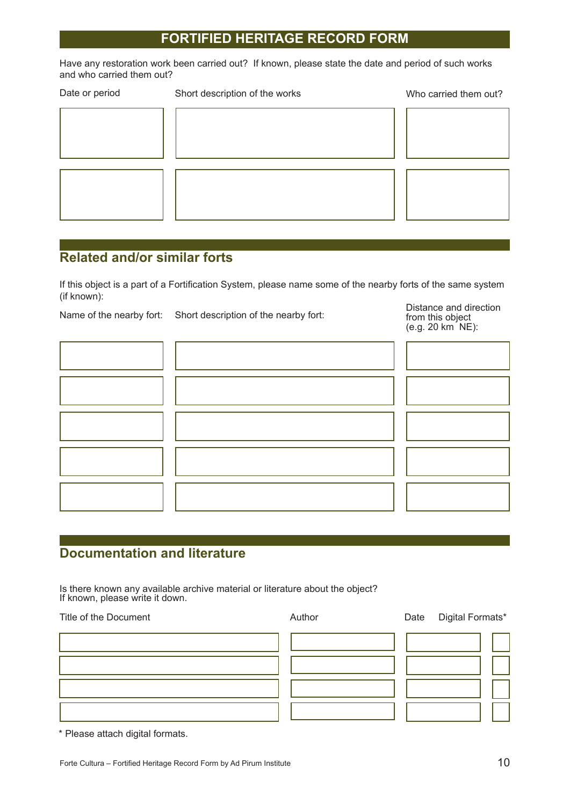Have any restoration work been carried out? If known, please state the date and period of such works and who carried them out?

| Date or period | Short description of the works | Who carried them out? |
|----------------|--------------------------------|-----------------------|
|                |                                |                       |
|                |                                |                       |
|                |                                |                       |
|                |                                |                       |
|                |                                |                       |
|                |                                |                       |
|                |                                |                       |

## **Related and/or similar forts**

If this object is a part of a Fortification System, please name some of the nearby forts of the same system (if known):

Name of the nearby fort: Short description of the nearby fort:

Distance and direction from this object (e.g. 20 km NE):

#### **Documentation and literature**

Is there known any available archive material or literature about the object? If known, please write it down.

Title of the Document **Author** Author **Date** Digital Formats\*

\* Please attach digital formats.